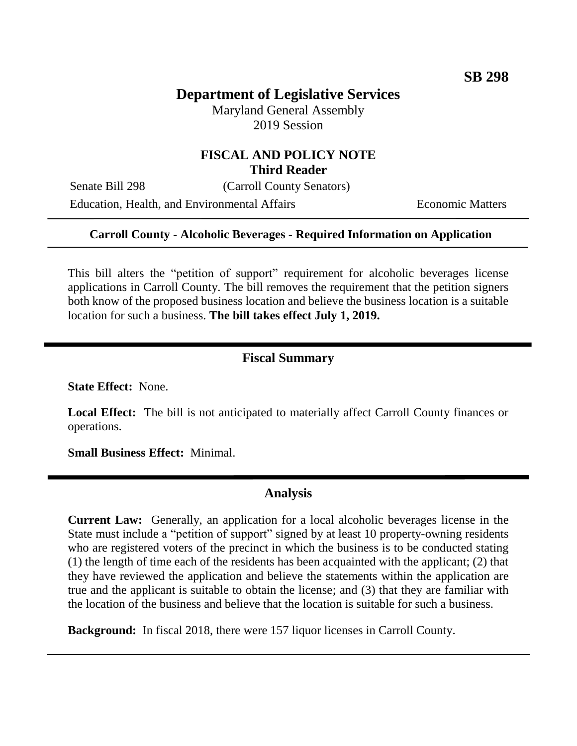# **Department of Legislative Services**

Maryland General Assembly 2019 Session

### **FISCAL AND POLICY NOTE Third Reader**

Senate Bill 298 (Carroll County Senators)

Education, Health, and Environmental Affairs **Economic Matters** 

#### **Carroll County - Alcoholic Beverages - Required Information on Application**

This bill alters the "petition of support" requirement for alcoholic beverages license applications in Carroll County. The bill removes the requirement that the petition signers both know of the proposed business location and believe the business location is a suitable location for such a business. **The bill takes effect July 1, 2019.**

#### **Fiscal Summary**

**State Effect:** None.

**Local Effect:** The bill is not anticipated to materially affect Carroll County finances or operations.

**Small Business Effect:** Minimal.

#### **Analysis**

the location of the business and believe that the location is suitable for such a business.

**Background:** In fiscal 2018, there were 157 liquor licenses in Carroll County.

**Current Law:** Generally, an application for a local alcoholic beverages license in the State must include a "petition of support" signed by at least 10 property-owning residents who are registered voters of the precinct in which the business is to be conducted stating (1) the length of time each of the residents has been acquainted with the applicant; (2) that they have reviewed the application and believe the statements within the application are true and the applicant is suitable to obtain the license; and (3) that they are familiar with